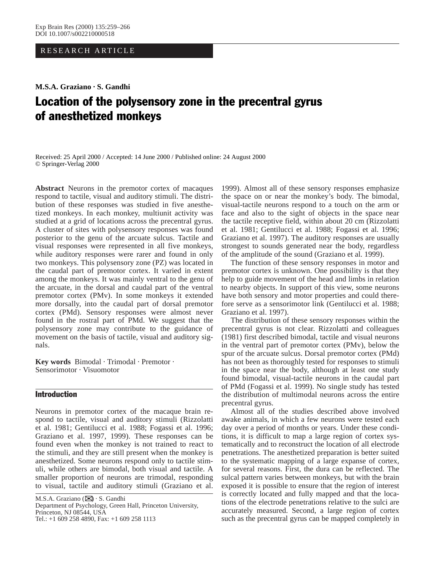RESEARCH ARTICLE

**M.S.A. Graziano · S. Gandhi**

# Location of the polysensory zone in the precentral gyrus of anesthetized monkeys

Received: 25 April 2000 / Accepted: 14 June 2000 / Published online: 24 August 2000 © Springer-Verlag 2000

**Abstract** Neurons in the premotor cortex of macaques respond to tactile, visual and auditory stimuli. The distribution of these responses was studied in five anesthetized monkeys. In each monkey, multiunit activity was studied at a grid of locations across the precentral gyrus. A cluster of sites with polysensory responses was found posterior to the genu of the arcuate sulcus. Tactile and visual responses were represented in all five monkeys, while auditory responses were rarer and found in only two monkeys. This polysensory zone (PZ) was located in the caudal part of premotor cortex. It varied in extent among the monkeys. It was mainly ventral to the genu of the arcuate, in the dorsal and caudal part of the ventral premotor cortex (PMv). In some monkeys it extended more dorsally, into the caudal part of dorsal premotor cortex (PMd). Sensory responses were almost never found in the rostral part of PMd. We suggest that the polysensory zone may contribute to the guidance of movement on the basis of tactile, visual and auditory signals.

**Key words** Bimodal · Trimodal · Premotor · Sensorimotor · Visuomotor

# Introduction

Neurons in premotor cortex of the macaque brain respond to tactile, visual and auditory stimuli (Rizzolatti et al. 1981; Gentilucci et al. 1988; Fogassi et al. 1996; Graziano et al. 1997, 1999). These responses can be found even when the monkey is not trained to react to the stimuli, and they are still present when the monkey is anesthetized. Some neurons respond only to tactile stimuli, while others are bimodal, both visual and tactile. A smaller proportion of neurons are trimodal, responding to visual, tactile and auditory stimuli (Graziano et al.

M.S.A. Graziano (✉) · S. Gandhi Department of Psychology, Green Hall, Princeton University, Princeton, NJ 08544, USA Tel.: +1 609 258 4890, Fax: +1 609 258 1113

1999). Almost all of these sensory responses emphasize the space on or near the monkey's body. The bimodal, visual-tactile neurons respond to a touch on the arm or face and also to the sight of objects in the space near the tactile receptive field, within about 20 cm (Rizzolatti et al. 1981; Gentilucci et al. 1988; Fogassi et al. 1996; Graziano et al. 1997). The auditory responses are usually strongest to sounds generated near the body, regardless of the amplitude of the sound (Graziano et al. 1999).

The function of these sensory responses in motor and premotor cortex is unknown. One possibility is that they help to guide movement of the head and limbs in relation to nearby objects. In support of this view, some neurons have both sensory and motor properties and could therefore serve as a sensorimotor link (Gentilucci et al. 1988; Graziano et al. 1997).

The distribution of these sensory responses within the precentral gyrus is not clear. Rizzolatti and colleagues (1981) first described bimodal, tactile and visual neurons in the ventral part of premotor cortex (PMv), below the spur of the arcuate sulcus. Dorsal premotor cortex (PMd) has not been as thoroughly tested for responses to stimuli in the space near the body, although at least one study found bimodal, visual-tactile neurons in the caudal part of PMd (Fogassi et al. 1999). No single study has tested the distribution of multimodal neurons across the entire precentral gyrus.

Almost all of the studies described above involved awake animals, in which a few neurons were tested each day over a period of months or years. Under these conditions, it is difficult to map a large region of cortex systematically and to reconstruct the location of all electrode penetrations. The anesthetized preparation is better suited to the systematic mapping of a large expanse of cortex, for several reasons. First, the dura can be reflected. The sulcal pattern varies between monkeys, but with the brain exposed it is possible to ensure that the region of interest is correctly located and fully mapped and that the locations of the electrode penetrations relative to the sulci are accurately measured. Second, a large region of cortex such as the precentral gyrus can be mapped completely in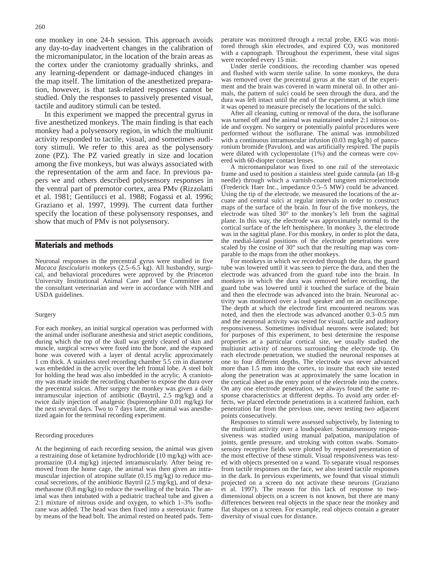one monkey in one 24-h session. This approach avoids any day-to-day inadvertent changes in the calibration of the micromanipulator, in the location of the brain areas as the cortex under the craniotomy gradually shrinks, and any learning-dependent or damage-induced changes in the map itself. The limitation of the anesthetized preparation, however, is that task-related responses cannot be studied. Only the responses to passively presented visual, tactile and auditory stimuli can be tested.

In this experiment we mapped the precentral gyrus in five anesthetized monkeys. The main finding is that each monkey had a polysensory region, in which the multiunit activity responded to tactile, visual, and sometimes auditory stimuli. We refer to this area as the polysensory zone (PZ). The PZ varied greatly in size and location among the five monkeys, but was always associated with the representation of the arm and face. In previous papers we and others described polysensory responses in the ventral part of premotor cortex, area PMv (Rizzolatti et al. 1981; Gentilucci et al. 1988; Fogassi et al. 1996; Graziano et al. 1997, 1999). The current data further specify the location of these polysensory responses, and show that much of PMv is not polysensory.

### Materials and methods

Neuronal responses in the precentral gyrus were studied in five *Macaca fascicularis* monkeys (2.5–6.5 kg). All husbandry, surgical, and behavioral procedures were approved by the Princeton University Institutional Animal Care and Use Committee and the consultant veterinarian and were in accordance with NIH and USDA guidelines.

#### Surgery

For each monkey, an initial surgical operation was performed with the animal under isoflurane anesthesia and strict aseptic conditions, during which the top of the skull was gently cleared of skin and muscle, surgical screws were fixed into the bone, and the exposed bone was covered with a layer of dental acrylic approximately 1 cm thick. A stainless steel recording chamber 5.5 cm in diameter was embedded in the acrylic over the left frontal lobe. A steel bolt for holding the head was also imbedded in the acrylic. A craniotomy was made inside the recording chamber to expose the dura over the precentral sulcus. After surgery the monkey was given a daily intramuscular injection of antibiotic (Baytril, 2.5 mg/kg) and a twice daily injection of analgesic (buprenorphine 0.01 mg/kg) for the next several days. Two to 7 days later, the animal was anesthetized again for the terminal recording experiment.

#### Recording procedures

At the beginning of each recording session, the animal was given a restraining dose of ketamine hydrochloride (10 mg/kg) with acepromazine (0.4 mg/kg) injected intramuscularly. After being removed from the home cage, the animal was then given an intramuscular injection of atropine sulfate (0.15 mg/kg) to reduce mucosal secretions, of the antibiotic Baytril (2.5 mg/kg), and of dexamethasone (0.8 mg/kg) to reduce the swelling of the brain. The animal was then intubated with a pediatric tracheal tube and given a 2:1 mixture of nitrous oxide and oxygen, to which 1–3% isoflurane was added. The head was then fixed into a stereotaxic frame by means of the head bolt. The animal rested on heated pads. Temperature was monitored through a rectal probe, EKG was monitored through skin electrodes, and expired  $CO<sub>2</sub>$  was monitored with a capnograph. Throughout the experiment, these vital signs were recorded every 15 min.

Under sterile conditions, the recording chamber was opened and flushed with warm sterile saline. In some monkeys, the dura was removed over the precentral gyrus at the start of the experiment and the brain was covered in warm mineral oil. In other animals, the pattern of sulci could be seen through the dura, and the dura was left intact until the end of the experiment, at which time it was opened to measure precisely the locations of the sulci.

After all cleaning, cutting or removal of the dura, the isoflurane was turned off and the animal was maintained under 2:1 nitrous oxide and oxygen. No surgery or potentially painful procedures were performed without the isoflurane. The animal was immobilized with a continuous intramuscular infusion (0.03 mg/kg/h) of pancuronium bromide (Pavulon), and was artificially respired. The pupils were dilated with cyclopentolate (1%) and the corneas were covered with 60-diopter contact lenses.

A micromanipulator was fixed to one rail of the stereotaxic frame and used to position a stainless steel guide cannula (an 18-g needle) through which a varnish-coated tungsten microelectrode (Frederick Haer Inc., impedance 0.5–5 MW) could be advanced. Using the tip of the electrode, we measured the locations of the arcuate and central sulci at regular intervals in order to construct maps of the surface of the brain. In four of the five monkeys, the electrode was tilted 30° to the monkey's left from the sagittal plane. In this way, the electrode was approximately normal to the cortical surface of the left hemisphere. In monkey 3, the electrode was in the sagittal plane. For this monkey, in order to plot the data, the medial-lateral positions of the electrode penetrations were scaled by the cosine of 30° such that the resulting map was comparable to the maps from the other monkeys.

For monkeys in which we recorded through the dura, the guard tube was lowered until it was seen to pierce the dura, and then the electrode was advanced from the guard tube into the brain. In monkeys in which the dura was removed before recording, the guard tube was lowered until it touched the surface of the brain and then the electrode was advanced into the brain. Neuronal activity was monitored over a loud speaker and on an oscilloscope. The depth at which the electrode first encountered neurons was noted, and then the electrode was advanced another 0.3–0.5 mm and the neuronal activity was tested for visual, tactile and auditory responsiveness. Sometimes individual neurons were isolated; but for purposes of this experiment, to best determine the response properties at a particular cortical site, we usually studied the multiunit activity of neurons surrounding the electrode tip. On each electrode penetration, we studied the neuronal responses at one to four different depths. The electrode was never advanced more than 1.5 mm into the cortex, to insure that each site tested along the penetration was at approximately the same location in the cortical sheet as the entry point of the electrode into the cortex. On any one electrode penetration, we always found the same response characteristics at different depths. To avoid any order effects, we placed electrode penetrations in a scattered fashion, each penetration far from the previous one, never testing two adjacent points consecutively.

Responses to stimuli were assessed subjectively, by listening to the multiunit activity over a loudspeaker. Somatosensory responsiveness was studied using manual palpation, manipulation of joints, gentle pressure, and stroking with cotton swabs. Somatosensory receptive fields were plotted by repeated presentation of the most effective of these stimuli. Visual responsiveness was tested with objects presented on a wand. To separate visual responses from tactile responses on the face, we also tested tactile responses in the dark. In previous experiments, we found that visual stimuli projected on a screen do not activate these neurons (Graziano et al. 1997). The reason for this lack of response to twodimensional objects on a screen is not known, but there are many differences between real objects in the space near the monkey and flat shapes on a screen. For example, real objects contain a greater diversity of visual cues for distance.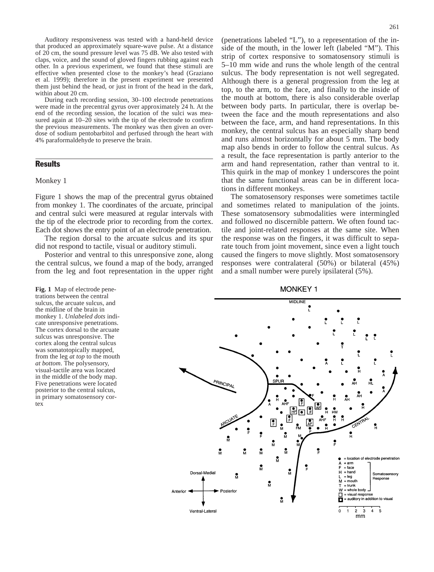Auditory responsiveness was tested with a hand-held device that produced an approximately square-wave pulse. At a distance of 20 cm, the sound pressure level was 75 dB. We also tested with claps, voice, and the sound of gloved fingers rubbing against each other. In a previous experiment, we found that these stimuli are effective when presented close to the monkey's head (Graziano et al. 1999); therefore in the present experiment we presented them just behind the head, or just in front of the head in the dark, within about 20 cm.

During each recording session, 30–100 electrode penetrations were made in the precentral gyrus over approximately 24 h. At the end of the recording session, the location of the sulci was measured again at 10–20 sites with the tip of the electrode to confirm the previous measurements. The monkey was then given an overdose of sodium pentobarbitol and perfused through the heart with 4% paraformaldehyde to preserve the brain.

# **Results**

#### Monkey 1

Figure 1 shows the map of the precentral gyrus obtained from monkey 1. The coordinates of the arcuate, principal and central sulci were measured at regular intervals with the tip of the electrode prior to recording from the cortex. Each dot shows the entry point of an electrode penetration.

The region dorsal to the arcuate sulcus and its spur did not respond to tactile, visual or auditory stimuli.

Posterior and ventral to this unresponsive zone, along the central sulcus, we found a map of the body, arranged from the leg and foot representation in the upper right

**Fig. 1** Map of electrode penetrations between the central sulcus, the arcuate sulcus, and the midline of the brain in monkey 1. *Unlabeled dots* indicate unresponsive penetrations. The cortex dorsal to the arcuate sulcus was unresponsive. The cortex along the central sulcus was somatotopically mapped, from the leg *at top* to the mouth *at bottom*. The polysensory, visual-tactile area was located in the middle of the body map. Five penetrations were located posterior to the central sulcus, in primary somatosensory cortex

(penetrations labeled "L"), to a representation of the inside of the mouth, in the lower left (labeled "M"). This strip of cortex responsive to somatosensory stimuli is 5–10 mm wide and runs the whole length of the central sulcus. The body representation is not well segregated. Although there is a general progression from the leg at top, to the arm, to the face, and finally to the inside of the mouth at bottom, there is also considerable overlap between body parts. In particular, there is overlap between the face and the mouth representations and also between the face, arm, and hand representations. In this monkey, the central sulcus has an especially sharp bend and runs almost horizontally for about 5 mm. The body map also bends in order to follow the central sulcus. As a result, the face representation is partly anterior to the arm and hand representation, rather than ventral to it. This quirk in the map of monkey 1 underscores the point that the same functional areas can be in different loca-

The somatosensory responses were sometimes tactile and sometimes related to manipulation of the joints. These somatosensory submodalities were intermingled and followed no discernible pattern. We often found tactile and joint-related responses at the same site. When the response was on the fingers, it was difficult to separate touch from joint movement, since even a light touch caused the fingers to move slightly. Most somatosensory responses were contralateral (50%) or bilateral (45%) and a small number were purely ipsilateral (5%).

tions in different monkeys.



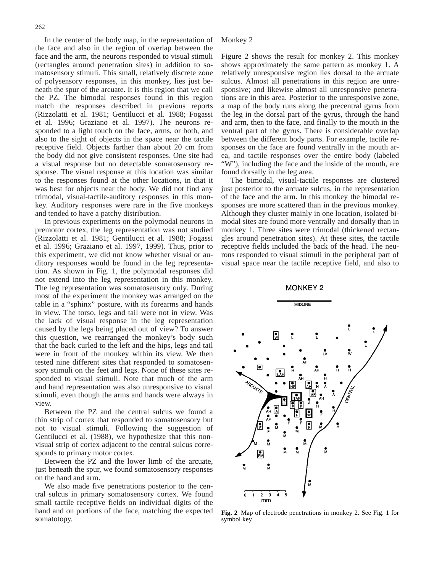In the center of the body map, in the representation of the face and also in the region of overlap between the face and the arm, the neurons responded to visual stimuli (rectangles around penetration sites) in addition to somatosensory stimuli. This small, relatively discrete zone of polysensory responses, in this monkey, lies just beneath the spur of the arcuate. It is this region that we call the PZ. The bimodal responses found in this region match the responses described in previous reports (Rizzolatti et al. 1981; Gentilucci et al. 1988; Fogassi et al. 1996; Graziano et al. 1997). The neurons responded to a light touch on the face, arms, or both, and also to the sight of objects in the space near the tactile receptive field. Objects farther than about 20 cm from the body did not give consistent responses. One site had a visual response but no detectable somatosensory response. The visual response at this location was similar to the responses found at the other locations, in that it was best for objects near the body. We did not find any trimodal, visual-tactile-auditory responses in this monkey. Auditory responses were rare in the five monkeys and tended to have a patchy distribution.

In previous experiments on the polymodal neurons in premotor cortex, the leg representation was not studied (Rizzolatti et al. 1981; Gentilucci et al. 1988; Fogassi et al. 1996; Graziano et al. 1997, 1999). Thus, prior to this experiment, we did not know whether visual or auditory responses would be found in the leg representation. As shown in Fig. 1, the polymodal responses did not extend into the leg representation in this monkey. The leg representation was somatosensory only. During most of the experiment the monkey was arranged on the table in a "sphinx" posture, with its forearms and hands in view. The torso, legs and tail were not in view. Was the lack of visual response in the leg representation caused by the legs being placed out of view? To answer this question, we rearranged the monkey's body such that the back curled to the left and the hips, legs and tail were in front of the monkey within its view. We then tested nine different sites that responded to somatosensory stimuli on the feet and legs. None of these sites responded to visual stimuli. Note that much of the arm and hand representation was also unresponsive to visual stimuli, even though the arms and hands were always in view.

Between the PZ and the central sulcus we found a thin strip of cortex that responded to somatosensory but not to visual stimuli. Following the suggestion of Gentilucci et al. (1988), we hypothesize that this nonvisual strip of cortex adjacent to the central sulcus corresponds to primary motor cortex.

Between the PZ and the lower limb of the arcuate, just beneath the spur, we found somatosensory responses on the hand and arm.

We also made five penetrations posterior to the central sulcus in primary somatosensory cortex. We found small tactile receptive fields on individual digits of the hand and on portions of the face, matching the expected somatotopy.

#### Monkey 2

Figure 2 shows the result for monkey 2. This monkey shows approximately the same pattern as monkey 1. A relatively unresponsive region lies dorsal to the arcuate sulcus. Almost all penetrations in this region are unresponsive; and likewise almost all unresponsive penetrations are in this area. Posterior to the unresponsive zone, a map of the body runs along the precentral gyrus from the leg in the dorsal part of the gyrus, through the hand and arm, then to the face, and finally to the mouth in the ventral part of the gyrus. There is considerable overlap between the different body parts. For example, tactile responses on the face are found ventrally in the mouth area, and tactile responses over the entire body (labeled "W"), including the face and the inside of the mouth, are found dorsally in the leg area.

The bimodal, visual-tactile responses are clustered just posterior to the arcuate sulcus, in the representation of the face and the arm. In this monkey the bimodal responses are more scattered than in the previous monkey. Although they cluster mainly in one location, isolated bimodal sites are found more ventrally and dorsally than in monkey 1. Three sites were trimodal (thickened rectangles around penetration sites). At these sites, the tactile receptive fields included the back of the head. The neurons responded to visual stimuli in the peripheral part of visual space near the tactile receptive field, and also to



**Fig. 2** Map of electrode penetrations in monkey 2. See Fig. 1 for symbol key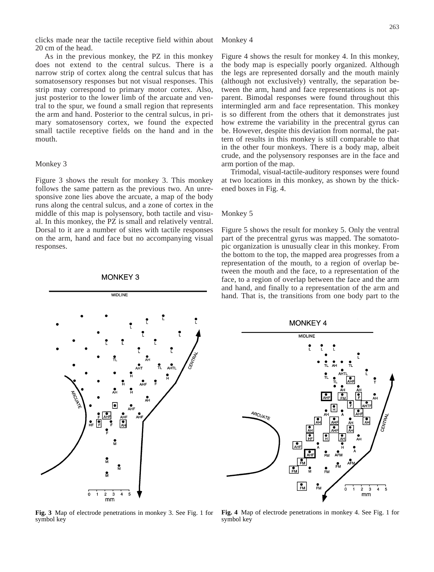clicks made near the tactile receptive field within about 20 cm of the head.

As in the previous monkey, the PZ in this monkey does not extend to the central sulcus. There is a narrow strip of cortex along the central sulcus that has somatosensory responses but not visual responses. This strip may correspond to primary motor cortex. Also, just posterior to the lower limb of the arcuate and ventral to the spur, we found a small region that represents the arm and hand. Posterior to the central sulcus, in primary somatosensory cortex, we found the expected small tactile receptive fields on the hand and in the mouth.

#### Monkey 3

Figure 3 shows the result for monkey 3. This monkey follows the same pattern as the previous two. An unresponsive zone lies above the arcuate, a map of the body runs along the central sulcus, and a zone of cortex in the middle of this map is polysensory, both tactile and visual. In this monkey, the PZ is small and relatively ventral. Dorsal to it are a number of sites with tactile responses on the arm, hand and face but no accompanying visual responses.

# **MONKEY 3**



Figure 4 shows the result for monkey 4. In this monkey, the body map is especially poorly organized. Although the legs are represented dorsally and the mouth mainly (although not exclusively) ventrally, the separation between the arm, hand and face representations is not apparent. Bimodal responses were found throughout this intermingled arm and face representation. This monkey is so different from the others that it demonstrates just how extreme the variability in the precentral gyrus can be. However, despite this deviation from normal, the pattern of results in this monkey is still comparable to that in the other four monkeys. There is a body map, albeit crude, and the polysensory responses are in the face and arm portion of the map.

Trimodal, visual-tactile-auditory responses were found at two locations in this monkey, as shown by the thickened boxes in Fig. 4.

# Monkey 5

Figure 5 shows the result for monkey 5. Only the ventral part of the precentral gyrus was mapped. The somatotopic organization is unusually clear in this monkey. From the bottom to the top, the mapped area progresses from a representation of the mouth, to a region of overlap between the mouth and the face, to a representation of the face, to a region of overlap between the face and the arm and hand, and finally to a representation of the arm and hand. That is, the transitions from one body part to the



**Fig. 4** Map of electrode penetrations in monkey 4. See Fig. 1 for symbol key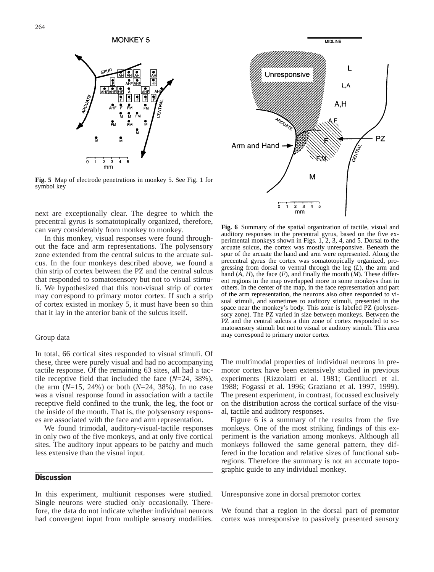

**Fig. 5** Map of electrode penetrations in monkey 5. See Fig. 1 for symbol key

next are exceptionally clear. The degree to which the precentral gyrus is somatotopically organized, therefore, can vary considerably from monkey to monkey.

In this monkey, visual responses were found throughout the face and arm representations. The polysensory zone extended from the central sulcus to the arcuate sulcus. In the four monkeys described above, we found a thin strip of cortex between the PZ and the central sulcus that responded to somatosensory but not to visual stimuli. We hypothesized that this non-visual strip of cortex may correspond to primary motor cortex. If such a strip of cortex existed in monkey 5, it must have been so thin that it lay in the anterior bank of the sulcus itself.

### Group data

In total, 66 cortical sites responded to visual stimuli. Of these, three were purely visual and had no accompanying tactile response. Of the remaining 63 sites, all had a tactile receptive field that included the face (*N*=24, 38%), the arm (*N*=15, 24%) or both (*N*=24, 38%). In no case was a visual response found in association with a tactile receptive field confined to the trunk, the leg, the foot or the inside of the mouth. That is, the polysensory responses are associated with the face and arm representation.

We found trimodal, auditory-visual-tactile responses in only two of the five monkeys, and at only five cortical sites. The auditory input appears to be patchy and much less extensive than the visual input.

# **Discussion**

In this experiment, multiunit responses were studied. Single neurons were studied only occasionally. Therefore, the data do not indicate whether individual neurons had convergent input from multiple sensory modalities.



**Fig. 6** Summary of the spatial organization of tactile, visual and auditory responses in the precentral gyrus, based on the five experimental monkeys shown in Figs. 1, 2, 3, 4, and 5. Dorsal to the arcuate sulcus, the cortex was mostly unresponsive. Beneath the spur of the arcuate the hand and arm were represented. Along the precentral gyrus the cortex was somatotopically organized, progressing from dorsal to ventral through the leg (*L*), the arm and hand (*A, H*), the face (*F*), and finally the mouth (*M*). These different regions in the map overlapped more in some monkeys than in others. In the center of the map, in the face representation and part of the arm representation, the neurons also often responded to visual stimuli, and sometimes to auditory stimuli, presented in the space near the monkey's body. This zone is labeled PZ (polysensory zone). The PZ varied in size between monkeys. Between the PZ and the central sulcus a thin zone of cortex responded to somatosensory stimuli but not to visual or auditory stimuli. This area may correspond to primary motor cortex

The multimodal properties of individual neurons in premotor cortex have been extensively studied in previous experiments (Rizzolatti et al. 1981; Gentilucci et al. 1988; Fogassi et al. 1996; Graziano et al. 1997, 1999). The present experiment, in contrast, focussed exclusively on the distribution across the cortical surface of the visual, tactile and auditory responses.

Figure 6 is a summary of the results from the five monkeys. One of the most striking findings of this experiment is the variation among monkeys. Although all monkeys followed the same general pattern, they differed in the location and relative sizes of functional subregions. Therefore the summary is not an accurate topographic guide to any individual monkey.

Unresponsive zone in dorsal premotor cortex

We found that a region in the dorsal part of premotor cortex was unresponsive to passively presented sensory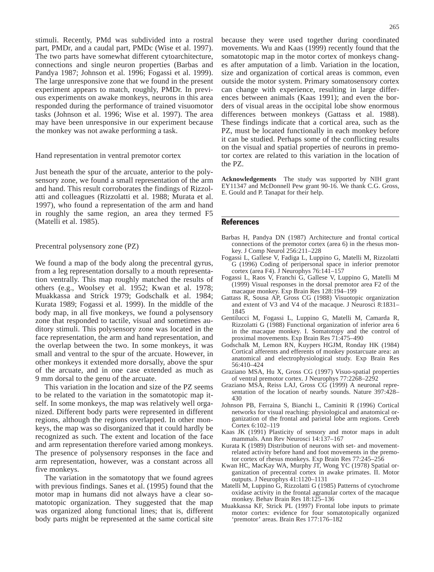stimuli. Recently, PMd was subdivided into a rostral part, PMDr, and a caudal part, PMDc (Wise et al. 1997). The two parts have somewhat different cytoarchitecture, connections and single neuron properties (Barbas and Pandya 1987; Johnson et al. 1996; Fogassi et al. 1999). The large unresponsive zone that we found in the present experiment appears to match, roughly, PMDr. In previous experiments on awake monkeys, neurons in this area responded during the performance of trained visuomotor tasks (Johnson et al. 1996; Wise et al. 1997). The area may have been unresponsive in our experiment because the monkey was not awake performing a task.

#### Hand representation in ventral premotor cortex

Just beneath the spur of the arcuate, anterior to the polysensory zone, we found a small representation of the arm and hand. This result corroborates the findings of Rizzolatti and colleagues (Rizzolatti et al. 1988; Murata et al. 1997), who found a representation of the arm and hand in roughly the same region, an area they termed F5 (Matelli et al. 1985).

#### Precentral polysensory zone (PZ)

We found a map of the body along the precentral gyrus, from a leg representation dorsally to a mouth representation ventrally. This map roughly matched the results of others (e.g., Woolsey et al. 1952; Kwan et al. 1978; Muakkassa and Strick 1979; Godschalk et al. 1984; Kurata 1989; Fogassi et al. 1999). In the middle of the body map, in all five monkeys, we found a polysensory zone that responded to tactile, visual and sometimes auditory stimuli. This polysensory zone was located in the face representation, the arm and hand representation, and the overlap between the two. In some monkeys, it was small and ventral to the spur of the arcuate. However, in other monkeys it extended more dorsally, above the spur of the arcuate, and in one case extended as much as 9 mm dorsal to the genu of the arcuate.

This variation in the location and size of the PZ seems to be related to the variation in the somatotopic map itself. In some monkeys, the map was relatively well organized. Different body parts were represented in different regions, although the regions overlapped. In other monkeys, the map was so disorganized that it could hardly be recognized as such. The extent and location of the face and arm representation therefore varied among monkeys. The presence of polysensory responses in the face and arm representation, however, was a constant across all five monkeys.

The variation in the somatotopy that we found agrees with previous findings. Sanes et al. (1995) found that the motor map in humans did not always have a clear somatotopic organization. They suggested that the map was organized along functional lines; that is, different body parts might be represented at the same cortical site because they were used together during coordinated movements. Wu and Kaas (1999) recently found that the somatotopic map in the motor cortex of monkeys changes after amputation of a limb. Variation in the location, size and organization of cortical areas is common, even outside the motor system. Primary somatosensory cortex can change with experience, resulting in large differences between animals (Kaas 1991); and even the borders of visual areas in the occipital lobe show enormous differences between monkeys (Gattass et al. 1988). These findings indicate that a cortical area, such as the PZ, must be located functionally in each monkey before it can be studied. Perhaps some of the conflicting results on the visual and spatial properties of neurons in premotor cortex are related to this variation in the location of the PZ.

**Acknowledgements** The study was supported by NIH grant EY11347 and McDonnell Pew grant 90-16. We thank C.G. Gross, E. Gould and P. Tanapat for their help.

## **References**

- Barbas H, Pandya DN (1987) Architecture and frontal cortical connections of the premotor cortex (area 6) in the rhesus monkey. J Comp Neurol 256:211–228
- Fogassi L, Gallese V, Fadiga L, Luppino G, Matelli M, Rizzolatti G (1996) Coding of peripersonal space in inferior premotor cortex (area F4). J Neurophys 76:141–157
- Fogassi L, Raos V, Franchi G, Gallese V, Luppino G, Matelli M (1999) Visual responses in the dorsal premotor area F2 of the macaque monkey. Exp Brain Res 128:194–199
- Gattass R, Sousa AP, Gross CG (1988) Visuotopic organization and extent of V3 and V4 of the macaque. J Neurosci 8:1831– 1845
- Gentilucci M, Fogassi L, Luppino G, Matelli M, Camarda R, Rizzolatti G (1988) Functional organization of inferior area 6 in the macaque monkey. I. Somatotopy and the control of proximal movements. Exp Brain Res 71:475–490
- Godschalk M, Lemon RN, Kuypers HGJM, Ronday HK (1984) Cortical afferents and efferents of monkey postarcuate area: an anatomical and electrophysiological study. Exp Brain Res 56:410–424
- Graziano MSA, Hu X, Gross CG (1997) Visuo-spatial properties of ventral premotor cortex. J Neurophys 77:2268–2292
- Graziano MSA, Reiss LAJ, Gross CG (1999) A neuronal representation of the location of nearby sounds. Nature 397:428– 430
- Johnson PB, Ferraina S, Bianchi L, Caminiti R (1996) Cortical networks for visual reaching: physiological and anatomical organization of the frontal and parietal lobe arm regions. Cereb Cortex 6:102–119
- Kaas JK (1991) Plasticity of sensory and motor maps in adult mammals. Ann Rev Neurosci 14:137–167
- Kurata K (1989) Distribution of neurons with set- and movementrelated activity before hand and foot movements in the premotor cortex of rhesus monkeys. Exp Brain Res 77:245–256
- Kwan HC, MacKay WA, Murphy JT, Wong YC (1978) Spatial organization of precentral cortex in awake primates. II. Motor outputs. J Neurophys 41:1120–1131
- Matelli M, Luppino G, Rizzolatti G (1985) Patterns of cytochrome oxidase activity in the frontal agranular cortex of the macaque monkey. Behav Brain Res 18:125–136
- Muakkassa KF, Strick PL (1997) Frontal lobe inputs to primate motor cortex: evidence for four somatotopically organized 'premotor' areas. Brain Res 177:176–182